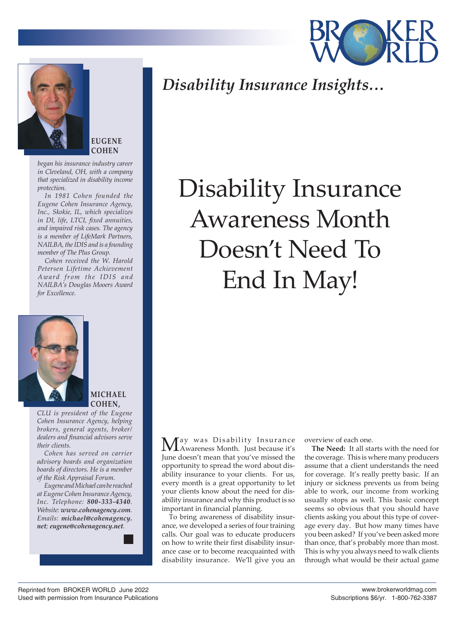



**EUGENE COHEN**

*began his insurance industry career in Cleveland, OH, with a company that specialized in disability income protection.*

*In 1981 Cohen founded the Eugene Cohen Insurance Agency, Inc., Skokie, IL, which specializes in DI, life, LTCI, fixed annuities, and impaired risk cases. The agency is a member of LifeMark Partners, NAILBA, the IDIS and is a founding member of The Plus Group.*

*Cohen received the W. Harold Petersen Lifetime Achievement Award from the IDIS and NAILBA's Douglas Mooers Award for Excellence.*



## **MICHAEL COHEN,**

*CLU is president of the Eugene Cohen Insurance Agency, helping brokers, general agents, broker/ dealers and financial advisors serve their clients.*

*Cohen has served on carrier advisory boards and organization boards of directors. He is a member of the Risk Appraisal Forum.*

*Eugene and Michael can be reached at Eugene Cohen Insurance Agency, Inc. Telephone: 800-333-4340. Website: www.cohenagency.com. Emails: michael@cohenagency. net; eugene@cohenagency.net.*

*Disability Insurance Insights…*

## Disability Insurance Awareness Month Doesn't Need To End In May!

May was Disability Insurance Awareness Month. Just because it's June doesn't mean that you've missed the opportunity to spread the word about disability insurance to your clients. For us, every month is a great opportunity to let your clients know about the need for disability insurance and why this product is so important in financial planning.

To bring awareness of disability insurance, we developed a series of four training calls. Our goal was to educate producers on how to write their first disability insurance case or to become reacquainted with disability insurance. We'll give you an overview of each one.

**The Need:** It all starts with the need for the coverage. This is where many producers assume that a client understands the need for coverage. It's really pretty basic. If an injury or sickness prevents us from being able to work, our income from working usually stops as well. This basic concept seems so obvious that you should have clients asking you about this type of coverage every day. But how many times have you been asked? If you've been asked more than once, that's probably more than most. This is why you always need to walk clients through what would be their actual game